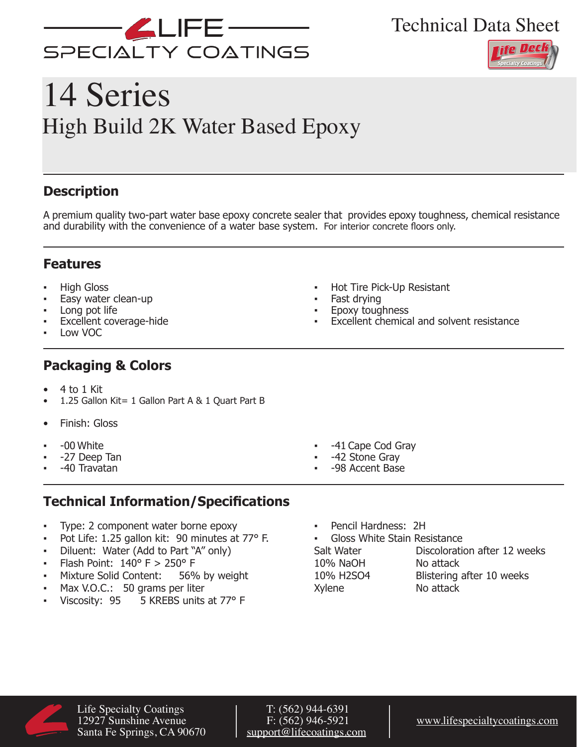

Technical Data Sheet



# 14 Series High Build 2K Water Based Epoxy

## **Description**

A premium quality two-part water base epoxy concrete sealer that provides epoxy toughness, chemical resistance and durability with the convenience of a water base system. For interior concrete floors only.

## **Features**

- **High Gloss**
- Easy water clean-up
- Long pot life
- **Excellent coverage-hide**
- Low VOC

## **Packaging & Colors**

- 4 to 1 Kit
- 1.25 Gallon Kit= 1 Gallon Part A & 1 Quart Part B
- Finish: Gloss
- -00 White
- -27 Deep Tan
- -40 Travatan
- Hot Tire Pick-Up Resistant
- Fast drying
- Epoxy toughness
- Excellent chemical and solvent resistance

- -41 Cape Cod Gray
- -42 Stone Gray
- -98 Accent Base

## **Technical Information/Specifications**

- Type: 2 component water borne epoxy
- Pot Life: 1.25 gallon kit: 90 minutes at 77° F.
- Diluent: Water (Add to Part "A" only)
- 
- **•** Flash Point:  $140^{\circ}$  F >  $250^{\circ}$  F<br>**•** Mixture Solid Content: 56% by weight Mixture Solid Content:
- Max V.O.C.: 50 grams per liter
- Viscosity: 95 5 KREBS units at 77° F
- Pencil Hardness: 2H
- Gloss White Stain Resistance 10% NaOH No attack<br>10% H2SO4 Blistering

Salt Water **Discoloration after 12 weeks** Blistering after 10 weeks Xylene No attack



Life Specialty Coatings<br>12927 Sunshine Avenue F: (562) 946-5921 Santa Fe Springs, CA 90670

F: (562) 946-5921 [www.lifespecialtycoatings.com](http://www.lifespecialtycoatings.com)<br>support@lifecoatings.com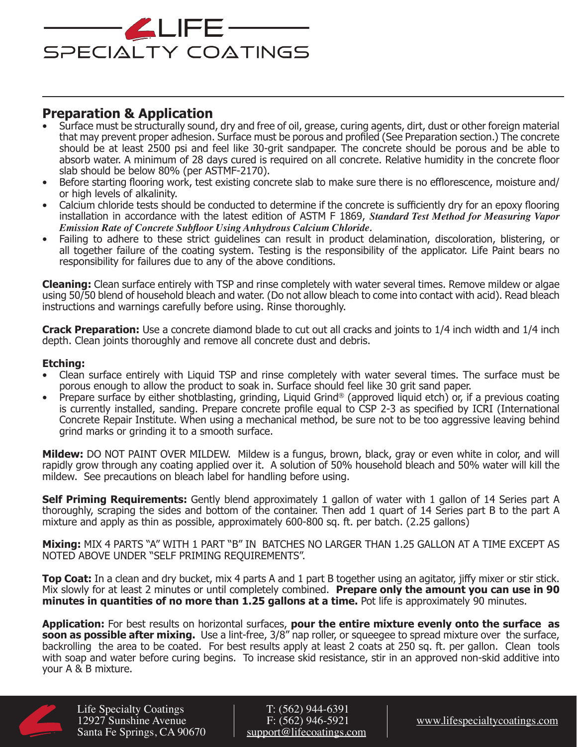

## **Preparation & Application**

- Surface must be structurally sound, dry and free of oil, grease, curing agents, dirt, dust or other foreign material that may prevent proper adhesion. Surface must be porous and profiled (See Preparation section.) The concrete should be at least 2500 psi and feel like 30-grit sandpaper. The concrete should be porous and be able to absorb water. A minimum of 28 days cured is required on all concrete. Relative humidity in the concrete floor slab should be below 80% (per ASTMF-2170).
- Before starting flooring work, test existing concrete slab to make sure there is no efflorescence, moisture and/ or high levels of alkalinity.
- Calcium chloride tests should be conducted to determine if the concrete is sufficiently dry for an epoxy flooring installation in accordance with the latest edition of ASTM F 1869, *Standard Test Method for Measuring Vapor Emission Rate of Concrete Subfloor Using Anhydrous Calcium Chloride.*
- Failing to adhere to these strict guidelines can result in product delamination, discoloration, blistering, or all together failure of the coating system. Testing is the responsibility of the applicator. Life Paint bears no responsibility for failures due to any of the above conditions.

**Cleaning:** Clean surface entirely with TSP and rinse completely with water several times. Remove mildew or algae using 50/50 blend of household bleach and water. (Do not allow bleach to come into contact with acid). Read bleach instructions and warnings carefully before using. Rinse thoroughly.

**Crack Preparation:** Use a concrete diamond blade to cut out all cracks and joints to 1/4 inch width and 1/4 inch depth. Clean joints thoroughly and remove all concrete dust and debris.

#### **Etching:**

- Clean surface entirely with Liquid TSP and rinse completely with water several times. The surface must be porous enough to allow the product to soak in. Surface should feel like 30 grit sand paper.
- Prepare surface by either shotblasting, grinding, Liquid Grind® (approved liquid etch) or, if a previous coating is currently installed, sanding. Prepare concrete profile equal to CSP 2-3 as specified by ICRI (International Concrete Repair Institute. When using a mechanical method, be sure not to be too aggressive leaving behind grind marks or grinding it to a smooth surface.

**Mildew:** DO NOT PAINT OVER MILDEW. Mildew is a fungus, brown, black, gray or even white in color, and will rapidly grow through any coating applied over it. A solution of 50% household bleach and 50% water will kill the mildew. See precautions on bleach label for handling before using.

**Self Priming Requirements:** Gently blend approximately 1 gallon of water with 1 gallon of 14 Series part A thoroughly, scraping the sides and bottom of the container. Then add 1 quart of 14 Series part B to the part A mixture and apply as thin as possible, approximately 600-800 sq. ft. per batch. (2.25 gallons)

**Mixing:** MIX 4 PARTS "A" WITH 1 PART "B" IN BATCHES NO LARGER THAN 1.25 GALLON AT A TIME EXCEPT AS NOTED ABOVE UNDER "SELF PRIMING REQUIREMENTS".

**Top Coat:** In a clean and dry bucket, mix 4 parts A and 1 part B together using an agitator, jiffy mixer or stir stick. Mix slowly for at least 2 minutes or until completely combined. **Prepare only the amount you can use in 90 minutes in quantities of no more than 1.25 gallons at a time.** Pot life is approximately 90 minutes.

**Application:** For best results on horizontal surfaces, **pour the entire mixture evenly onto the surface as soon as possible after mixing.** Use a lint-free, 3/8" nap roller, or squeegee to spread mixture over the surface, backrolling the area to be coated. For best results apply at least 2 coats at 250 sq. ft. per gallon. Clean tools with soap and water before curing begins. To increase skid resistance, stir in an approved non-skid additive into your A & B mixture.



Life Specialty Coatings<br>12927 Sunshine Avenue F: (562) 944-6391 Santa Fe Springs, CA 90670

F: (562) 946-5921 [www.lifespecialtycoatings.com](http://www.lifespecialtycoatings.com)<br>support@lifecoatings.com